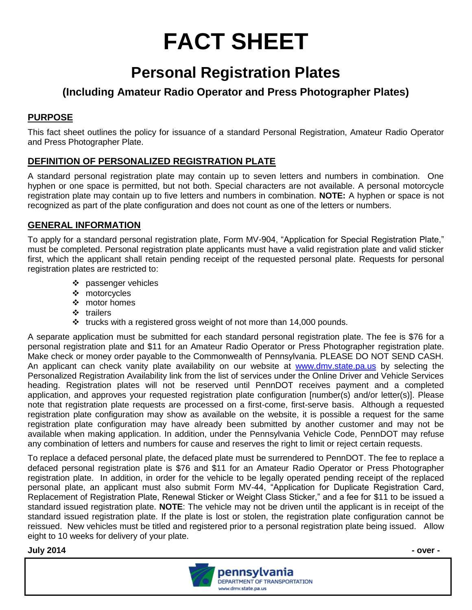# **FACT SHEET**

## **Personal Registration Plates**

### **(Including Amateur Radio Operator and Press Photographer Plates)**

#### **PURPOSE**

This fact sheet outlines the policy for issuance of a standard Personal Registration, Amateur Radio Operator and Press Photographer Plate.

#### **DEFINITION OF PERSONALIZED REGISTRATION PLATE**

A standard personal registration plate may contain up to seven letters and numbers in combination. One hyphen or one space is permitted, but not both. Special characters are not available. A personal motorcycle registration plate may contain up to five letters and numbers in combination. **NOTE:** A hyphen or space is not recognized as part of the plate configuration and does not count as one of the letters or numbers.

#### **GENERAL INFORMATION**

To apply for a standard personal registration plate, Form MV-904, "Application for Special Registration Plate," must be completed. Personal registration plate applicants must have a valid registration plate and valid sticker first, which the applicant shall retain pending receipt of the requested personal plate. Requests for personal registration plates are restricted to:

- passenger vehicles
- ❖ motorcycles
- ❖ motor homes
- $\div$  trailers
- $\cdot$  trucks with a registered gross weight of not more than 14,000 pounds.

A separate application must be submitted for each standard personal registration plate. The fee is \$76 for a personal registration plate and \$11 for an Amateur Radio Operator or Press Photographer registration plate. Make check or money order payable to the Commonwealth of Pennsylvania. PLEASE DO NOT SEND CASH. An applicant can check vanity plate availability on our website at [www.dmv.state.pa.us](http://www.dmv.state.pa.us/) by selecting the Personalized Registration Availability link from the list of services under the Online Driver and Vehicle Services heading. Registration plates will not be reserved until PennDOT receives payment and a completed application, and approves your requested registration plate configuration [number(s) and/or letter(s)]. Please note that registration plate requests are processed on a first-come, first-serve basis. Although a requested registration plate configuration may show as available on the website, it is possible a request for the same registration plate configuration may have already been submitted by another customer and may not be available when making application. In addition, under the Pennsylvania Vehicle Code, PennDOT may refuse any combination of letters and numbers for cause and reserves the right to limit or reject certain requests.

To replace a defaced personal plate, the defaced plate must be surrendered to PennDOT. The fee to replace a defaced personal registration plate is \$76 and \$11 for an Amateur Radio Operator or Press Photographer registration plate. In addition, in order for the vehicle to be legally operated pending receipt of the replaced personal plate, an applicant must also submit Form MV-44, "Application for Duplicate Registration Card, Replacement of Registration Plate, Renewal Sticker or Weight Class Sticker," and a fee for \$11 to be issued a standard issued registration plate. **NOTE**: The vehicle may not be driven until the applicant is in receipt of the standard issued registration plate. If the plate is lost or stolen, the registration plate configuration cannot be reissued. New vehicles must be titled and registered prior to a personal registration plate being issued. Allow eight to 10 weeks for delivery of your plate.

#### **July 2014 - over -**